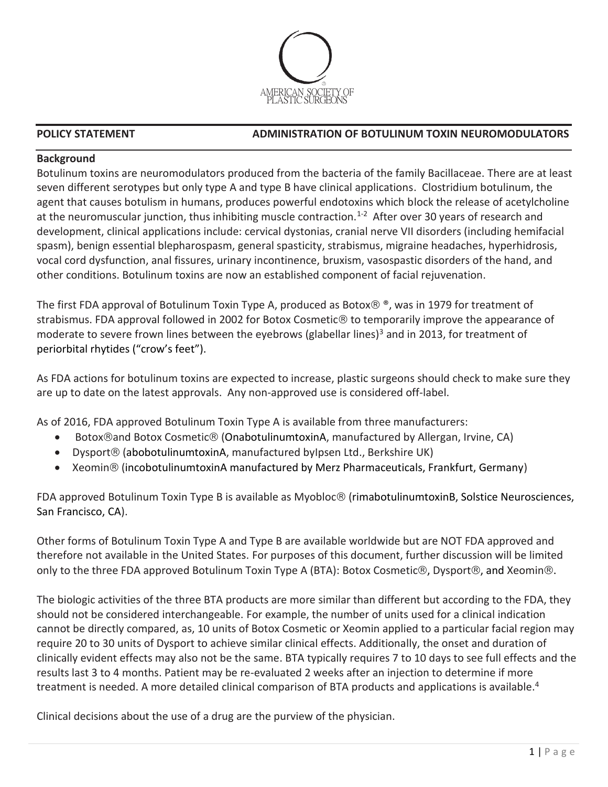

# **Background**

Botulinum toxins are neuromodulators produced from the bacteria of the family Bacillaceae. There are at least seven different serotypes but only type A and type B have clinical applications. Clostridium botulinum, the agent that causes botulism in humans, produces powerful endotoxins which block the release of acetylcholine at the neuromuscular junction, thus inhibiting muscle contraction.<sup>1-2</sup> After over 30 years of research and development, clinical applications include: cervical dystonias, cranial nerve VII disorders (including hemifacial spasm), benign essential blepharospasm, general spasticity, strabismus, migraine headaches, hyperhidrosis, vocal cord dysfunction, anal fissures, urinary incontinence, bruxism, vasospastic disorders of the hand, and other conditions. Botulinum toxins are now an established component of facial rejuvenation.

The first FDA approval of Botulinum Toxin Type A, produced as Botox $\otimes$   $\otimes$ , was in 1979 for treatment of strabismus. FDA approval followed in 2002 for Botox Cosmetic® to temporarily improve the appearance of moderate to severe frown lines between the eyebrows (glabellar lines)<sup>3</sup> and in 2013, for treatment of periorbital rhytides ("crow's feet").

As FDA actions for botulinum toxins are expected to increase, plastic surgeons should check to make sure they are up to date on the latest approvals. Any non-approved use is considered off-label.

As of 2016, FDA approved Botulinum Toxin Type A is available from three manufacturers:

- Botox<sup>®</sup>and Botox Cosmetic<sup>®</sup> (OnabotulinumtoxinA, manufactured by Allergan, Irvine, CA)
- Dysport (abobotulinumtoxinA, manufactured byIpsen Ltd., Berkshire UK)
- Xeomin<sup>®</sup> (incobotulinumtoxinA manufactured by Merz Pharmaceuticals, Frankfurt, Germany)

FDA approved Botulinum Toxin Type B is available as Myobloc<sup>®</sup> (rimabotulinumtoxinB, Solstice Neurosciences, San Francisco, CA).

Other forms of Botulinum Toxin Type A and Type B are available worldwide but are NOT FDA approved and therefore not available in the United States. For purposes of this document, further discussion will be limited only to the three FDA approved Botulinum Toxin Type A (BTA): Botox Cosmetic®, Dysport®, and Xeomin®.

The biologic activities of the three BTA products are more similar than different but according to the FDA, they should not be considered interchangeable. For example, the number of units used for a clinical indication cannot be directly compared, as, 10 units of Botox Cosmetic or Xeomin applied to a particular facial region may require 20 to 30 units of Dysport to achieve similar clinical effects. Additionally, the onset and duration of clinically evident effects may also not be the same. BTA typically requires 7 to 10 days to see full effects and the results last 3 to 4 months. Patient may be re-evaluated 2 weeks after an injection to determine if more treatment is needed. A more detailed clinical comparison of BTA products and applications is available.<sup>4</sup>

Clinical decisions about the use of a drug are the purview of the physician.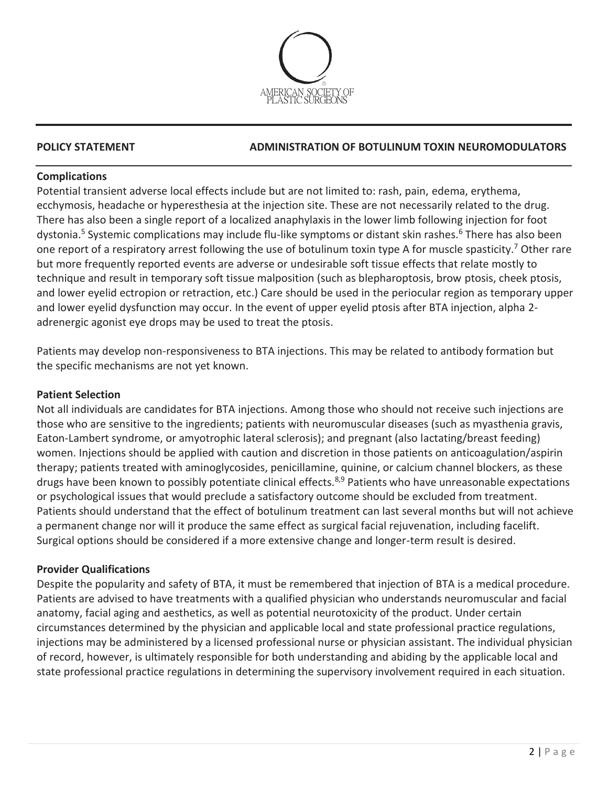

# **Complications**

Potential transient adverse local effects include but are not limited to: rash, pain, edema, erythema, ecchymosis, headache or hyperesthesia at the injection site. These are not necessarily related to the drug. There has also been a single report of a localized anaphylaxis in the lower limb following injection for foot dystonia.<sup>5</sup> Systemic complications may include flu-like symptoms or distant skin rashes.<sup>6</sup> There has also been one report of a respiratory arrest following the use of botulinum toxin type A for muscle spasticity.<sup>7</sup> Other rare but more frequently reported events are adverse or undesirable soft tissue effects that relate mostly to technique and result in temporary soft tissue malposition (such as blepharoptosis, brow ptosis, cheek ptosis, and lower eyelid ectropion or retraction, etc.) Care should be used in the periocular region as temporary upper and lower eyelid dysfunction may occur. In the event of upper eyelid ptosis after BTA injection, alpha 2 adrenergic agonist eye drops may be used to treat the ptosis.

Patients may develop non-responsiveness to BTA injections. This may be related to antibody formation but the specific mechanisms are not yet known.

### **Patient Selection**

Not all individuals are candidates for BTA injections. Among those who should not receive such injections are those who are sensitive to the ingredients; patients with neuromuscular diseases (such as myasthenia gravis, Eaton-Lambert syndrome, or amyotrophic lateral sclerosis); and pregnant (also lactating/breast feeding) women. Injections should be applied with caution and discretion in those patients on anticoagulation/aspirin therapy; patients treated with aminoglycosides, penicillamine, quinine, or calcium channel blockers, as these drugs have been known to possibly potentiate clinical effects.<sup>8,9</sup> Patients who have unreasonable expectations or psychological issues that would preclude a satisfactory outcome should be excluded from treatment. Patients should understand that the effect of botulinum treatment can last several months but will not achieve a permanent change nor will it produce the same effect as surgical facial rejuvenation, including facelift. Surgical options should be considered if a more extensive change and longer-term result is desired.

# **Provider Qualifications**

Despite the popularity and safety of BTA, it must be remembered that injection of BTA is a medical procedure. Patients are advised to have treatments with a qualified physician who understands neuromuscular and facial anatomy, facial aging and aesthetics, as well as potential neurotoxicity of the product. Under certain circumstances determined by the physician and applicable local and state professional practice regulations, injections may be administered by a licensed professional nurse or physician assistant. The individual physician of record, however, is ultimately responsible for both understanding and abiding by the applicable local and state professional practice regulations in determining the supervisory involvement required in each situation.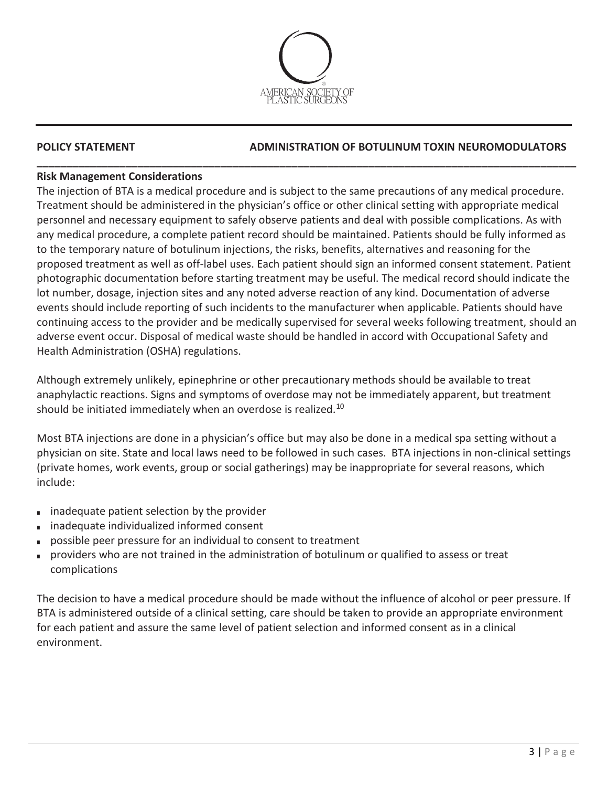

**\_\_\_\_\_\_\_\_\_\_\_\_\_\_\_\_\_\_\_\_\_\_\_\_\_\_\_\_\_\_\_\_\_\_\_\_\_\_\_\_\_\_\_\_\_\_\_\_\_\_\_\_\_\_\_\_\_\_\_\_\_\_\_\_\_\_\_\_\_\_\_\_\_\_\_\_\_\_\_\_\_\_\_\_\_\_\_\_\_\_\_**

# **POLICY STATEMENT ADMINISTRATION OF BOTULINUM TOXIN NEUROMODULATORS**

# **Risk Management Considerations**

The injection of BTA is a medical procedure and is subject to the same precautions of any medical procedure. Treatment should be administered in the physician's office or other clinical setting with appropriate medical personnel and necessary equipment to safely observe patients and deal with possible complications. As with any medical procedure, a complete patient record should be maintained. Patients should be fully informed as to the temporary nature of botulinum injections, the risks, benefits, alternatives and reasoning for the proposed treatment as well as off-label uses. Each patient should sign an informed consent statement. Patient photographic documentation before starting treatment may be useful. The medical record should indicate the lot number, dosage, injection sites and any noted adverse reaction of any kind. Documentation of adverse events should include reporting of such incidents to the manufacturer when applicable. Patients should have continuing access to the provider and be medically supervised for several weeks following treatment, should an adverse event occur. Disposal of medical waste should be handled in accord with Occupational Safety and Health Administration (OSHA) regulations.

Although extremely unlikely, epinephrine or other precautionary methods should be available to treat anaphylactic reactions. Signs and symptoms of overdose may not be immediately apparent, but treatment should be initiated immediately when an overdose is realized.<sup>10</sup>

Most BTA injections are done in a physician's office but may also be done in a medical spa setting without a physician on site. State and local laws need to be followed in such cases. BTA injections in non-clinical settings (private homes, work events, group or social gatherings) may be inappropriate for several reasons, which include:

- inadequate patient selection by the provider
- inadequate individualized informed consent
- possible peer pressure for an individual to consent to treatment
- providers who are not trained in the administration of botulinum or qualified to assess or treat complications

The decision to have a medical procedure should be made without the influence of alcohol or peer pressure. If BTA is administered outside of a clinical setting, care should be taken to provide an appropriate environment for each patient and assure the same level of patient selection and informed consent as in a clinical environment.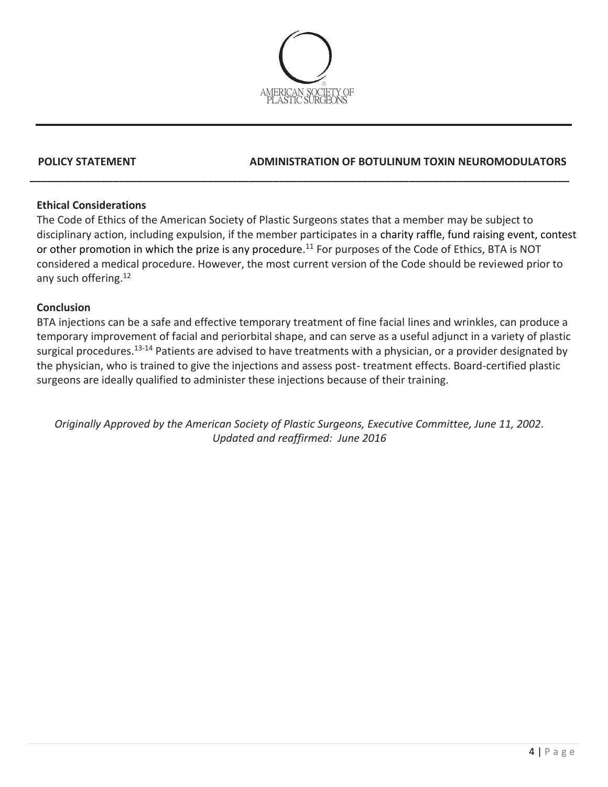

### **Ethical Considerations**

The Code of Ethics of the American Society of Plastic Surgeons states that a member may be subject to disciplinary action, including expulsion, if the member participates in a charity raffle, fund raising event, contest or other promotion in which the prize is any procedure.<sup>11</sup> For purposes of the Code of Ethics, BTA is NOT considered a medical procedure. However, the most current version of the Code should be reviewed prior to any such offering. 12

**\_\_\_\_\_\_\_\_\_\_\_\_\_\_\_\_\_\_\_\_\_\_\_\_\_\_\_\_\_\_\_\_\_\_\_\_\_\_\_\_\_\_\_\_\_\_\_\_\_\_\_\_\_\_\_\_\_\_\_\_\_\_\_\_\_\_\_\_\_\_\_\_\_\_\_\_\_\_\_\_\_\_\_\_\_\_\_\_\_\_\_**

### **Conclusion**

BTA injections can be a safe and effective temporary treatment of fine facial lines and wrinkles, can produce a temporary improvement of facial and periorbital shape, and can serve as a useful adjunct in a variety of plastic surgical procedures.<sup>13-14</sup> Patients are advised to have treatments with a physician, or a provider designated by the physician, who is trained to give the injections and assess post- treatment effects. Board-certified plastic surgeons are ideally qualified to administer these injections because of their training.

*Originally Approved by the American Society of Plastic Surgeons, Executive Committee, June 11, 2002. Updated and reaffirmed: June 2016*